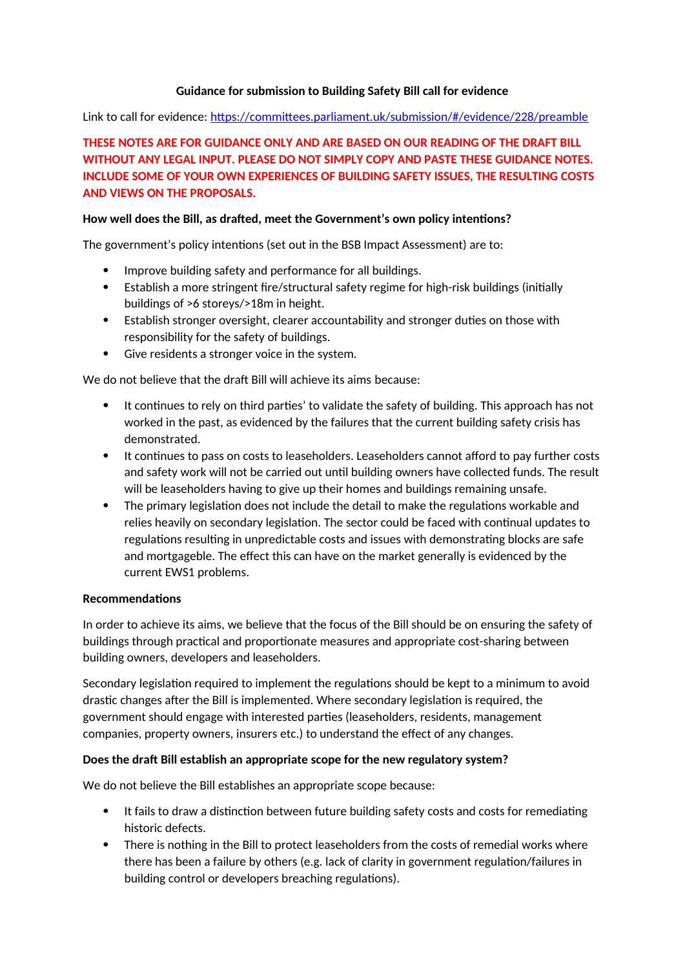### **Guidance for submission to Building Safety Bill call for evidence**

Link to call for evidence: <https://committees.parliament.uk/submission/#/evidence/228/preamble>

**THESE NOTES ARE FOR GUIDANCE ONLY AND ARE BASED ON OUR READING OF THE DRAFT BILL WITHOUT ANY LEGAL INPUT. PLEASE DO NOT SIMPLY COPY AND PASTE THESE GUIDANCE NOTES. INCLUDE SOME OF YOUR OWN EXPERIENCES OF BUILDING SAFETY ISSUES, THE RESULTING COSTS AND VIEWS ON THE PROPOSALS.**

### **How well does the Bill, as drafted, meet the Government's own policy intentions?**

The government's policy intentions (set out in the BSB Impact Assessment) are to:

- Improve building safety and performance for all buildings.
- Establish a more stringent fire/structural safety regime for high-risk buildings (initially buildings of >6 storeys/>18m in height.
- Establish stronger oversight, clearer accountability and stronger duties on those with responsibility for the safety of buildings.
- Give residents a stronger voice in the system.

We do not believe that the draft Bill will achieve its aims because:

- It continues to rely on third parties' to validate the safety of building. This approach has not worked in the past, as evidenced by the failures that the current building safety crisis has demonstrated.
- It continues to pass on costs to leaseholders. Leaseholders cannot afford to pay further costs and safety work will not be carried out until building owners have collected funds. The result will be leaseholders having to give up their homes and buildings remaining unsafe.
- The primary legislation does not include the detail to make the regulations workable and relies heavily on secondary legislation. The sector could be faced with continual updates to regulations resulting in unpredictable costs and issues with demonstrating blocks are safe and mortgageble. The effect this can have on the market generally is evidenced by the current EWS1 problems.

#### **Recommendations**

In order to achieve its aims, we believe that the focus of the Bill should be on ensuring the safety of buildings through practical and proportionate measures and appropriate cost-sharing between building owners, developers and leaseholders.

Secondary legislation required to implement the regulations should be kept to a minimum to avoid drastic changes after the Bill is implemented. Where secondary legislation is required, the government should engage with interested parties (leaseholders, residents, management companies, property owners, insurers etc.) to understand the effect of any changes.

#### **Does the draft Bill establish an appropriate scope for the new regulatory system?**

We do not believe the Bill establishes an appropriate scope because:

- It fails to draw a distinction between future building safety costs and costs for remediating historic defects.
- There is nothing in the Bill to protect leaseholders from the costs of remedial works where there has been a failure by others (e.g. lack of clarity in government regulation/failures in building control or developers breaching regulations).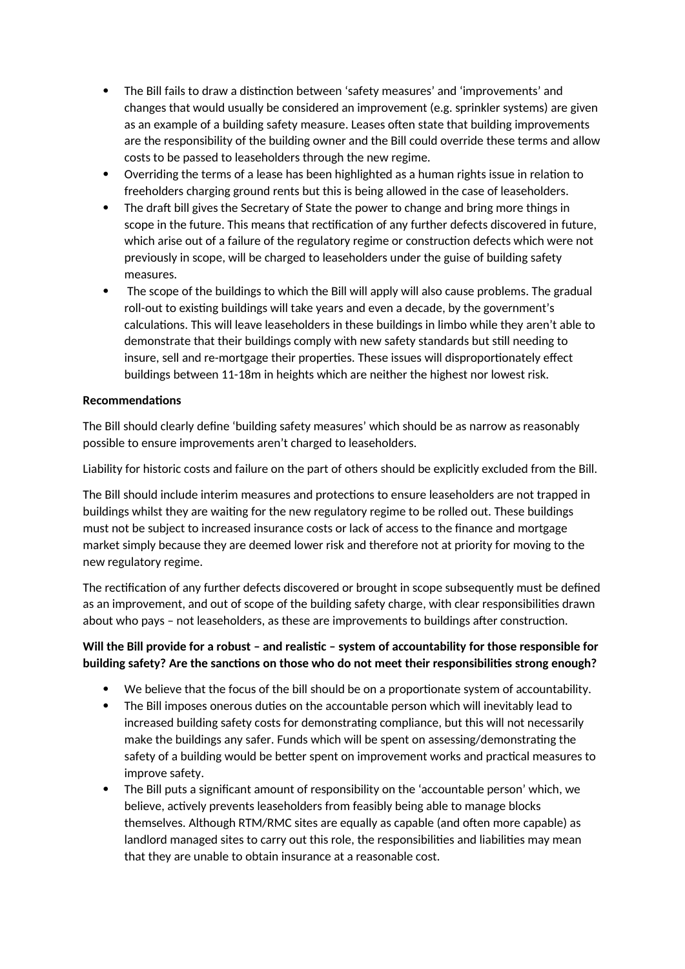- The Bill fails to draw a distinction between 'safety measures' and 'improvements' and changes that would usually be considered an improvement (e.g. sprinkler systems) are given as an example of a building safety measure. Leases often state that building improvements are the responsibility of the building owner and the Bill could override these terms and allow costs to be passed to leaseholders through the new regime.
- Overriding the terms of a lease has been highlighted as a human rights issue in relation to freeholders charging ground rents but this is being allowed in the case of leaseholders.
- The draft bill gives the Secretary of State the power to change and bring more things in scope in the future. This means that rectification of any further defects discovered in future, which arise out of a failure of the regulatory regime or construction defects which were not previously in scope, will be charged to leaseholders under the guise of building safety measures.
- The scope of the buildings to which the Bill will apply will also cause problems. The gradual roll-out to existing buildings will take years and even a decade, by the government's calculations. This will leave leaseholders in these buildings in limbo while they aren't able to demonstrate that their buildings comply with new safety standards but still needing to insure, sell and re-mortgage their properties. These issues will disproportionately effect buildings between 11-18m in heights which are neither the highest nor lowest risk.

### **Recommendations**

The Bill should clearly define 'building safety measures' which should be as narrow as reasonably possible to ensure improvements aren't charged to leaseholders.

Liability for historic costs and failure on the part of others should be explicitly excluded from the Bill.

The Bill should include interim measures and protections to ensure leaseholders are not trapped in buildings whilst they are waiting for the new regulatory regime to be rolled out. These buildings must not be subject to increased insurance costs or lack of access to the finance and mortgage market simply because they are deemed lower risk and therefore not at priority for moving to the new regulatory regime.

The rectification of any further defects discovered or brought in scope subsequently must be defined as an improvement, and out of scope of the building safety charge, with clear responsibilities drawn about who pays – not leaseholders, as these are improvements to buildings after construction.

# **Will the Bill provide for a robust – and realistic – system of accountability for those responsible for building safety? Are the sanctions on those who do not meet their responsibilities strong enough?**

- We believe that the focus of the bill should be on a proportionate system of accountability.
- The Bill imposes onerous duties on the accountable person which will inevitably lead to increased building safety costs for demonstrating compliance, but this will not necessarily make the buildings any safer. Funds which will be spent on assessing/demonstrating the safety of a building would be better spent on improvement works and practical measures to improve safety.
- The Bill puts a significant amount of responsibility on the 'accountable person' which, we believe, actively prevents leaseholders from feasibly being able to manage blocks themselves. Although RTM/RMC sites are equally as capable (and often more capable) as landlord managed sites to carry out this role, the responsibilities and liabilities may mean that they are unable to obtain insurance at a reasonable cost.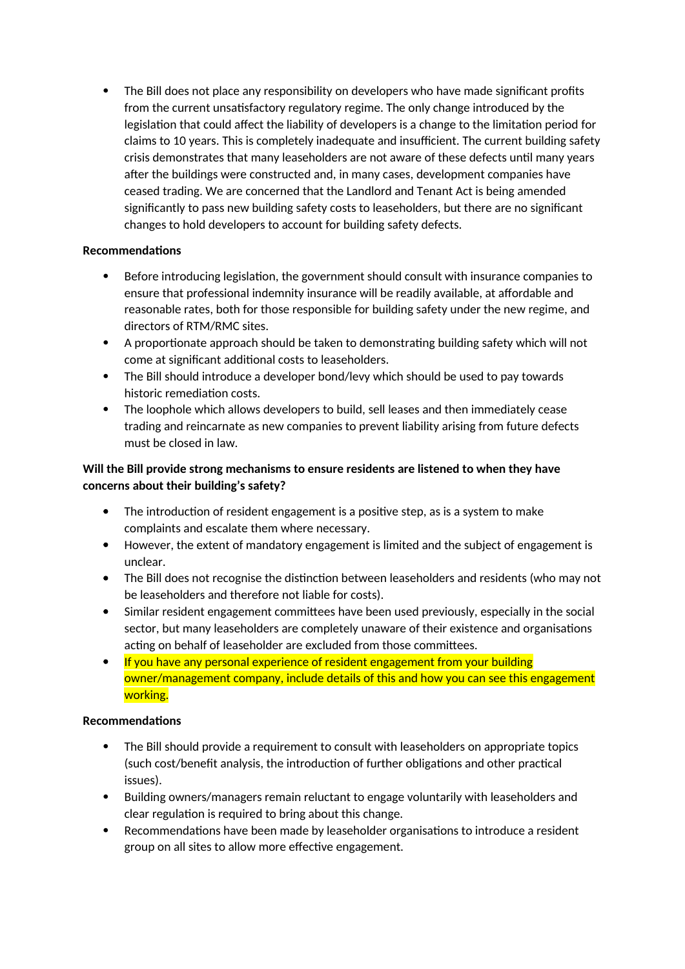• The Bill does not place any responsibility on developers who have made significant profits from the current unsatisfactory regulatory regime. The only change introduced by the legislation that could affect the liability of developers is a change to the limitation period for claims to 10 years. This is completely inadequate and insufficient. The current building safety crisis demonstrates that many leaseholders are not aware of these defects until many years after the buildings were constructed and, in many cases, development companies have ceased trading. We are concerned that the Landlord and Tenant Act is being amended significantly to pass new building safety costs to leaseholders, but there are no significant changes to hold developers to account for building safety defects.

## **Recommendations**

- Before introducing legislation, the government should consult with insurance companies to ensure that professional indemnity insurance will be readily available, at affordable and reasonable rates, both for those responsible for building safety under the new regime, and directors of RTM/RMC sites.
- A proportionate approach should be taken to demonstrating building safety which will not come at significant additional costs to leaseholders.
- The Bill should introduce a developer bond/levy which should be used to pay towards historic remediation costs.
- The loophole which allows developers to build, sell leases and then immediately cease trading and reincarnate as new companies to prevent liability arising from future defects must be closed in law.

# **Will the Bill provide strong mechanisms to ensure residents are listened to when they have concerns about their building's safety?**

- The introduction of resident engagement is a positive step, as is a system to make complaints and escalate them where necessary.
- However, the extent of mandatory engagement is limited and the subject of engagement is unclear.
- The Bill does not recognise the distinction between leaseholders and residents (who may not be leaseholders and therefore not liable for costs).
- Similar resident engagement committees have been used previously, especially in the social sector, but many leaseholders are completely unaware of their existence and organisations acting on behalf of leaseholder are excluded from those committees.
- If you have any personal experience of resident engagement from your building owner/management company, include details of this and how you can see this engagement working.

## **Recommendations**

- The Bill should provide a requirement to consult with leaseholders on appropriate topics (such cost/benefit analysis, the introduction of further obligations and other practical issues).
- Building owners/managers remain reluctant to engage voluntarily with leaseholders and clear regulation is required to bring about this change.
- Recommendations have been made by leaseholder organisations to introduce a resident group on all sites to allow more effective engagement.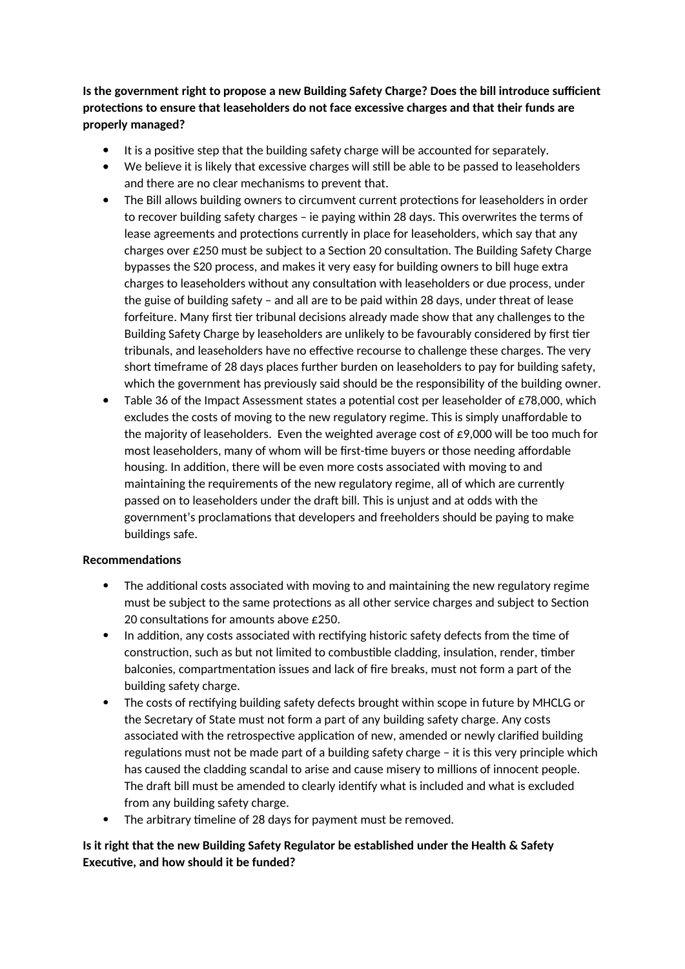**Is the government right to propose a new Building Safety Charge? Does the bill introduce sufficient protections to ensure that leaseholders do not face excessive charges and that their funds are properly managed?**

- It is a positive step that the building safety charge will be accounted for separately.
- We believe it is likely that excessive charges will still be able to be passed to leaseholders and there are no clear mechanisms to prevent that.
- The Bill allows building owners to circumvent current protections for leaseholders in order to recover building safety charges – ie paying within 28 days. This overwrites the terms of lease agreements and protections currently in place for leaseholders, which say that any charges over £250 must be subject to a Section 20 consultation. The Building Safety Charge bypasses the S20 process, and makes it very easy for building owners to bill huge extra charges to leaseholders without any consultation with leaseholders or due process, under the guise of building safety – and all are to be paid within 28 days, under threat of lease forfeiture. Many first tier tribunal decisions already made show that any challenges to the Building Safety Charge by leaseholders are unlikely to be favourably considered by first tier tribunals, and leaseholders have no effective recourse to challenge these charges. The very short timeframe of 28 days places further burden on leaseholders to pay for building safety, which the government has previously said should be the responsibility of the building owner.
- Table 36 of the Impact Assessment states a potential cost per leaseholder of  $\epsilon$ 78,000, which excludes the costs of moving to the new regulatory regime. This is simply unaffordable to the majority of leaseholders. Even the weighted average cost of  $\epsilon$ 9,000 will be too much for most leaseholders, many of whom will be first-time buyers or those needing affordable housing. In addition, there will be even more costs associated with moving to and maintaining the requirements of the new regulatory regime, all of which are currently passed on to leaseholders under the draft bill. This is unjust and at odds with the government's proclamations that developers and freeholders should be paying to make buildings safe.

## **Recommendations**

- The additional costs associated with moving to and maintaining the new regulatory regime must be subject to the same protections as all other service charges and subject to Section 20 consultations for amounts above £250.
- In addition, any costs associated with rectifying historic safety defects from the time of construction, such as but not limited to combustible cladding, insulation, render, timber balconies, compartmentation issues and lack of fire breaks, must not form a part of the building safety charge.
- The costs of rectifying building safety defects brought within scope in future by MHCLG or the Secretary of State must not form a part of any building safety charge. Any costs associated with the retrospective application of new, amended or newly clarified building regulations must not be made part of a building safety charge – it is this very principle which has caused the cladding scandal to arise and cause misery to millions of innocent people. The draft bill must be amended to clearly identify what is included and what is excluded from any building safety charge.
- The arbitrary timeline of 28 days for payment must be removed.

# **Is it right that the new Building Safety Regulator be established under the Health & Safety Executive, and how should it be funded?**